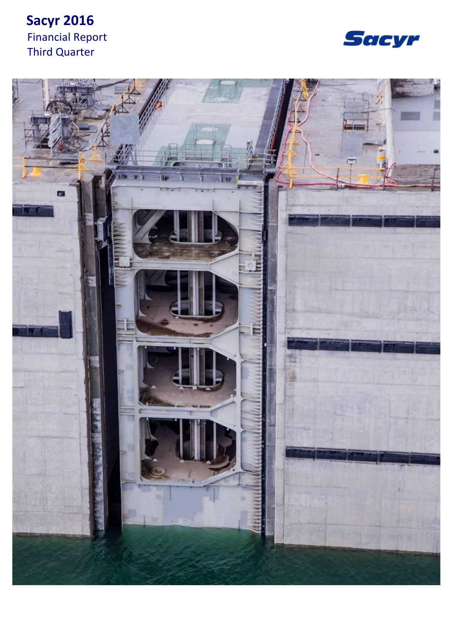# **Sacyr 2016** Financial Report Third Quarter



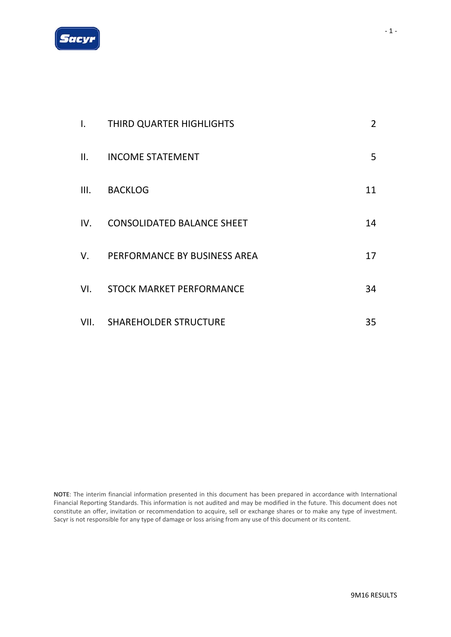

| Ι.          | THIRD QUARTER HIGHLIGHTS          | $\overline{2}$ |
|-------------|-----------------------------------|----------------|
| II.         | <b>INCOME STATEMENT</b>           | 5              |
| III.        | <b>BACKLOG</b>                    | 11             |
| IV.         | <b>CONSOLIDATED BALANCE SHEET</b> | 14             |
| $V_{\cdot}$ | PERFORMANCE BY BUSINESS AREA      | 17             |
| VI.         | STOCK MARKET PERFORMANCE          | 34             |
|             | VII. SHAREHOLDER STRUCTURE        | 35             |

**NOTE**: The interim financial information presented in this document has been prepared in accordance with International Financial Reporting Standards. This information is not audited and may be modified in the future. This document does not constitute an offer, invitation or recommendation to acquire, sell or exchange shares or to make any type of investment. Sacyr is not responsible for any type of damage or loss arising from any use of this document or its content.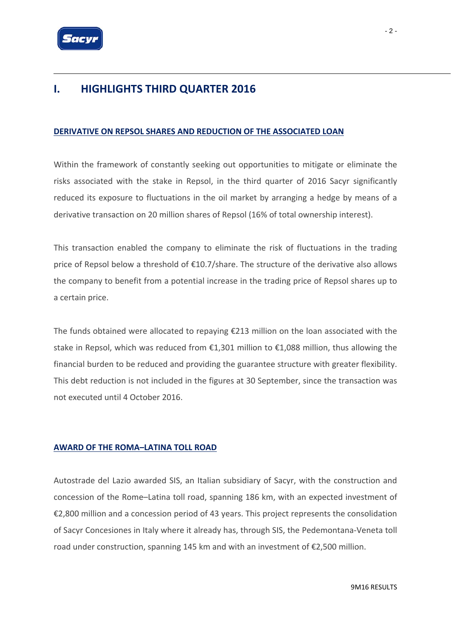

## **I. HIGHLIGHTS THIRD QUARTER 2016**

### **DERIVATIVE ON REPSOL SHARES AND REDUCTION OF THE ASSOCIATED LOAN**

Within the framework of constantly seeking out opportunities to mitigate or eliminate the risks associated with the stake in Repsol, in the third quarter of 2016 Sacyr significantly reduced its exposure to fluctuations in the oil market by arranging a hedge by means of a derivative transaction on 20 million shares of Repsol (16% of total ownership interest).

This transaction enabled the company to eliminate the risk of fluctuations in the trading price of Repsol below a threshold of €10.7/share. The structure of the derivative also allows the company to benefit from a potential increase in the trading price of Repsol shares up to a certain price.

The funds obtained were allocated to repaying  $\epsilon$ 213 million on the loan associated with the stake in Repsol, which was reduced from €1,301 million to €1,088 million, thus allowing the financial burden to be reduced and providing the guarantee structure with greater flexibility. This debt reduction is not included in the figures at 30 September, since the transaction was not executed until 4 October 2016.

### **AWARD OF THE ROMA–LATINA TOLL ROAD**

Autostrade del Lazio awarded SIS, an Italian subsidiary of Sacyr, with the construction and concession of the Rome–Latina toll road, spanning 186 km, with an expected investment of €2,800 million and a concession period of 43 years. This project represents the consolidation of Sacyr Concesiones in Italy where it already has, through SIS, the Pedemontana‐Veneta toll road under construction, spanning 145 km and with an investment of €2,500 million.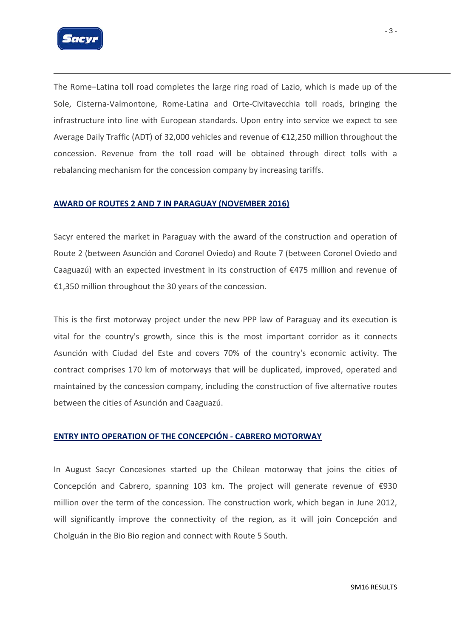

The Rome–Latina toll road completes the large ring road of Lazio, which is made up of the Sole, Cisterna‐Valmontone, Rome‐Latina and Orte‐Civitavecchia toll roads, bringing the infrastructure into line with European standards. Upon entry into service we expect to see Average Daily Traffic (ADT) of 32,000 vehicles and revenue of €12,250 million throughout the concession. Revenue from the toll road will be obtained through direct tolls with a rebalancing mechanism for the concession company by increasing tariffs.

### **AWARD OF ROUTES 2 AND 7 IN PARAGUAY (NOVEMBER 2016)**

Sacyr entered the market in Paraguay with the award of the construction and operation of Route 2 (between Asunción and Coronel Oviedo) and Route 7 (between Coronel Oviedo and Caaguazú) with an expected investment in its construction of €475 million and revenue of €1,350 million throughout the 30 years of the concession.

This is the first motorway project under the new PPP law of Paraguay and its execution is vital for the country's growth, since this is the most important corridor as it connects Asunción with Ciudad del Este and covers 70% of the country's economic activity. The contract comprises 170 km of motorways that will be duplicated, improved, operated and maintained by the concession company, including the construction of five alternative routes between the cities of Asunción and Caaguazú.

#### **ENTRY INTO OPERATION OF THE CONCEPCIÓN ‐ CABRERO MOTORWAY**

In August Sacyr Concesiones started up the Chilean motorway that joins the cities of Concepción and Cabrero, spanning 103 km. The project will generate revenue of €930 million over the term of the concession. The construction work, which began in June 2012, will significantly improve the connectivity of the region, as it will join Concepción and Cholguán in the Bio Bio region and connect with Route 5 South.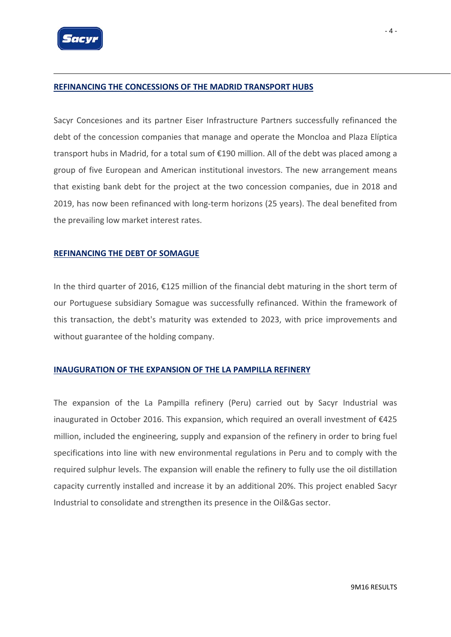

#### **REFINANCING THE CONCESSIONS OF THE MADRID TRANSPORT HUBS**

Sacyr Concesiones and its partner Eiser Infrastructure Partners successfully refinanced the debt of the concession companies that manage and operate the Moncloa and Plaza Elíptica transport hubs in Madrid, for a total sum of €190 million. All of the debt was placed among a group of five European and American institutional investors. The new arrangement means that existing bank debt for the project at the two concession companies, due in 2018 and 2019, has now been refinanced with long-term horizons (25 years). The deal benefited from the prevailing low market interest rates.

#### **REFINANCING THE DEBT OF SOMAGUE**

In the third quarter of 2016, €125 million of the financial debt maturing in the short term of our Portuguese subsidiary Somague was successfully refinanced. Within the framework of this transaction, the debt's maturity was extended to 2023, with price improvements and without guarantee of the holding company.

#### **INAUGURATION OF THE EXPANSION OF THE LA PAMPILLA REFINERY**

The expansion of the La Pampilla refinery (Peru) carried out by Sacyr Industrial was inaugurated in October 2016. This expansion, which required an overall investment of €425 million, included the engineering, supply and expansion of the refinery in order to bring fuel specifications into line with new environmental regulations in Peru and to comply with the required sulphur levels. The expansion will enable the refinery to fully use the oil distillation capacity currently installed and increase it by an additional 20%. This project enabled Sacyr Industrial to consolidate and strengthen its presence in the Oil&Gas sector.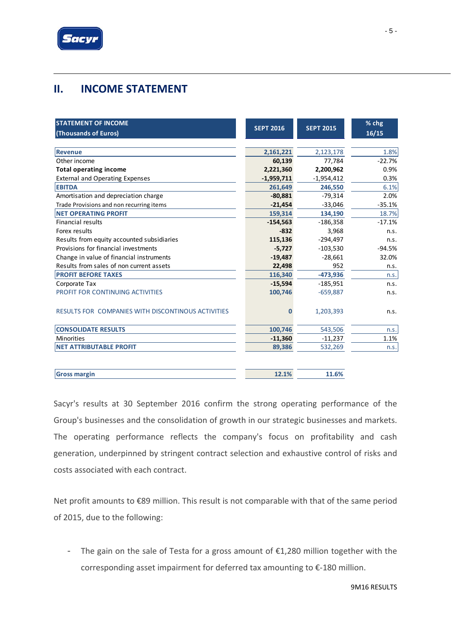

# **II. INCOME STATEMENT**

| <b>STATEMENT OF INCOME</b><br>(Thousands of Euros)        | <b>SEPT 2016</b> | <b>SEPT 2015</b> | % chg<br>16/15 |
|-----------------------------------------------------------|------------------|------------------|----------------|
| <b>Revenue</b>                                            | 2,161,221        | 2,123,178        | 1.8%           |
| Other income                                              | 60,139           | 77,784           | $-22.7%$       |
| <b>Total operating income</b>                             | 2,221,360        | 2,200,962        | 0.9%           |
| <b>External and Operating Expenses</b>                    | $-1,959,711$     | $-1,954,412$     | 0.3%           |
| <b>EBITDA</b>                                             | 261,649          | 246,550          | 6.1%           |
| Amortisation and depreciation charge                      | $-80,881$        | $-79,314$        | 2.0%           |
| Trade Provisions and non recurring items                  | $-21,454$        | $-33,046$        | $-35.1%$       |
| <b>NET OPERATING PROFIT</b>                               | 159,314          | 134,190          | 18.7%          |
| <b>Financial results</b>                                  | $-154,563$       | $-186,358$       | $-17.1%$       |
| Forex results                                             | $-832$           | 3,968            | n.s.           |
| Results from equity accounted subsidiaries                | 115,136          | $-294,497$       | n.s.           |
| Provisions for financial investments                      | $-5,727$         | $-103,530$       | $-94.5%$       |
| Change in value of financial instruments                  | $-19,487$        | $-28,661$        | 32.0%          |
| Results from sales of non current assets                  | 22,498           | 952              | n.s.           |
| <b>PROFIT BEFORE TAXES</b>                                | 116,340          | $-473,936$       | n.s.           |
| Corporate Tax                                             | $-15,594$        | $-185,951$       | n.s.           |
| PROFIT FOR CONTINUING ACTIVITIES                          | 100,746          | $-659,887$       | n.s.           |
| <b>RESULTS FOR COMPANIES WITH DISCONTINOUS ACTIVITIES</b> | $\bf{0}$         | 1,203,393        | n.s.           |
| <b>CONSOLIDATE RESULTS</b>                                | 100,746          | 543,506          | n.s.           |
| <b>Minorities</b>                                         | $-11,360$        | $-11,237$        | 1.1%           |
| <b>NET ATTRIBUTABLE PROFIT</b>                            | 89,386           | 532,269          | n.s.           |
| <b>Gross margin</b>                                       | 12.1%            | 11.6%            |                |

Sacyr's results at 30 September 2016 confirm the strong operating performance of the Group's businesses and the consolidation of growth in our strategic businesses and markets. The operating performance reflects the company's focus on profitability and cash generation, underpinned by stringent contract selection and exhaustive control of risks and costs associated with each contract.

Net profit amounts to €89 million. This result is not comparable with that of the same period of 2015, due to the following:

- The gain on the sale of Testa for a gross amount of  $£1,280$  million together with the corresponding asset impairment for deferred tax amounting to €‐180 million.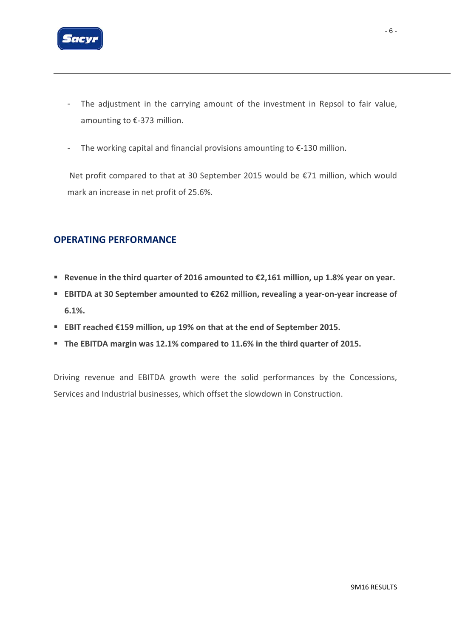

- The adjustment in the carrying amount of the investment in Repsol to fair value, amounting to €‐373 million.
- The working capital and financial provisions amounting to €‐130 million.

Net profit compared to that at 30 September 2015 would be €71 million, which would mark an increase in net profit of 25.6%.

### **OPERATING PERFORMANCE**

- **Revenue in the third quarter of 2016 amounted to €2,161 million, up 1.8% year on year.**
- **EBITDA at 30 September amounted to €262 million, revealing a year‐on‐year increase of 6.1%.**
- **EBIT reached €159 million, up 19% on that at the end of September 2015.**
- **The EBITDA margin was 12.1% compared to 11.6% in the third quarter of 2015.**

Driving revenue and EBITDA growth were the solid performances by the Concessions, Services and Industrial businesses, which offset the slowdown in Construction.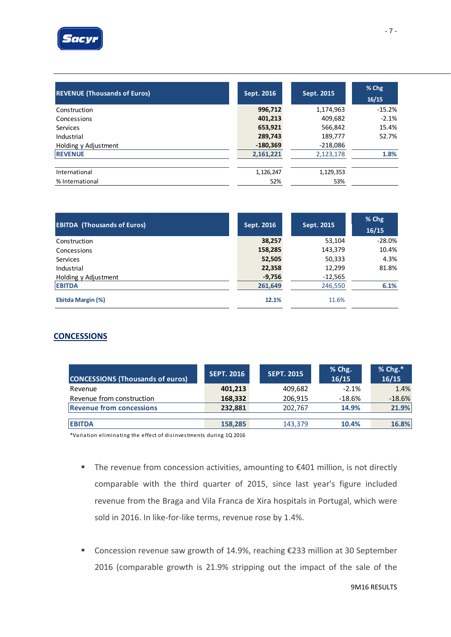

| <b>REVENUE (Thousands of Euros)</b> | Sept. 2016 | Sept. 2015 | % Chg<br>16/15 |
|-------------------------------------|------------|------------|----------------|
| Construction                        | 996,712    | 1,174,963  | $-15.2%$       |
| Concessions                         | 401,213    | 409,682    | $-2.1%$        |
| <b>Services</b>                     | 653,921    | 566,842    | 15.4%          |
| Industrial                          | 289,743    | 189,777    | 52.7%          |
| Holding y Adjustment                | $-180,369$ | $-218,086$ |                |
| <b>REVENUE</b>                      | 2,161,221  | 2,123,178  | 1.8%           |
| International                       | 1,126,247  | 1,129,353  |                |
| % International                     | 52%        | 53%        |                |

| <b>EBITDA (Thousands of Euros)</b> | Sept. 2016 | Sept. 2015 | $%$ Chg<br>16/15 |
|------------------------------------|------------|------------|------------------|
| Construction                       | 38,257     | 53,104     | $-28.0%$         |
| Concessions                        | 158,285    | 143,379    | 10.4%            |
| <b>Services</b>                    | 52,505     | 50,333     | 4.3%             |
| Industrial                         | 22,358     | 12,299     | 81.8%            |
| Holding y Adjustment               | $-9,756$   | $-12,565$  |                  |
| <b>EBITDA</b>                      | 261,649    | 246,550    | 6.1%             |
| Ebitda Margin (%)                  | 12.1%      | 11.6%      |                  |

### **CONCESSIONS**

| <b>CONCESSIONS (Thousands of euros)</b> | <b>SEPT. 2016</b> | <b>SEPT. 2015</b> | % Chg.<br>16/15 | $%$ Chg. $*$<br>16/15 |
|-----------------------------------------|-------------------|-------------------|-----------------|-----------------------|
| Revenue                                 | 401,213           | 409,682           | $-2.1%$         | 1.4%                  |
| Revenue from construction               | 168,332           | 206,915           | $-18.6%$        | $-18.6%$              |
| <b>Revenue from concessions</b>         | 232,881           | 202,767           | 14.9%           | 21.9%                 |
|                                         |                   |                   |                 |                       |
| <b>EBITDA</b>                           | 158,285           | 143,379           | 10.4%           | 16.8%                 |

\*Va ria tion elimi na ti ng the e ffect of di si nves tments duri ng 1Q 2016

- The revenue from concession activities, amounting to  $\epsilon$ 401 million, is not directly comparable with the third quarter of 2015, since last year's figure included revenue from the Braga and Vila Franca de Xira hospitals in Portugal, which were sold in 2016. In like-for-like terms, revenue rose by 1.4%.
- Concession revenue saw growth of 14.9%, reaching €233 million at 30 September 2016 (comparable growth is 21.9% stripping out the impact of the sale of the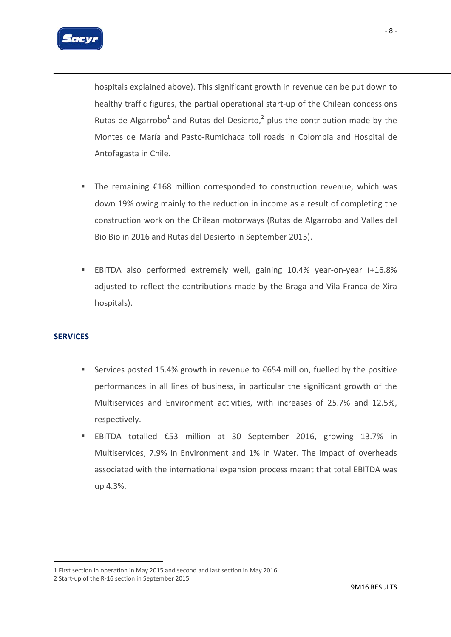

hospitals explained above). This significant growth in revenue can be put down to healthy traffic figures, the partial operational start‐up of the Chilean concessions Rutas de Algarrobo<sup>1</sup> and Rutas del Desierto,<sup>2</sup> plus the contribution made by the Montes de María and Pasto‐Rumichaca toll roads in Colombia and Hospital de Antofagasta in Chile.

- The remaining €168 million corresponded to construction revenue, which was down 19% owing mainly to the reduction in income as a result of completing the construction work on the Chilean motorways (Rutas de Algarrobo and Valles del Bio Bio in 2016 and Rutas del Desierto in September 2015).
- EBITDA also performed extremely well, gaining 10.4% year‐on‐year (+16.8% adjusted to reflect the contributions made by the Braga and Vila Franca de Xira hospitals).

### **SERVICES**

1

- Services posted 15.4% growth in revenue to  $\epsilon$ 654 million, fuelled by the positive performances in all lines of business, in particular the significant growth of the Multiservices and Environment activities, with increases of 25.7% and 12.5%, respectively.
- EBITDA totalled €53 million at 30 September 2016, growing 13.7% in Multiservices, 7.9% in Environment and 1% in Water. The impact of overheads associated with the international expansion process meant that total EBITDA was up 4.3%.

<sup>1</sup> First section in operation in May 2015 and second and last section in May 2016.

<sup>2</sup> Start‐up of the R‐16 section in September 2015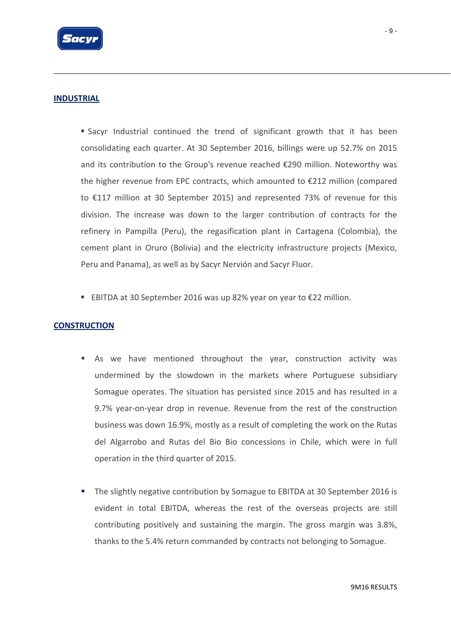

### **INDUSTRIAL**

 Sacyr Industrial continued the trend of significant growth that it has been consolidating each quarter. At 30 September 2016, billings were up 52.7% on 2015 and its contribution to the Group's revenue reached €290 million. Noteworthy was the higher revenue from EPC contracts, which amounted to €212 million (compared to €117 million at 30 September 2015) and represented 73% of revenue for this division. The increase was down to the larger contribution of contracts for the refinery in Pampilla (Peru), the regasification plant in Cartagena (Colombia), the cement plant in Oruro (Bolivia) and the electricity infrastructure projects (Mexico, Peru and Panama), as well as by Sacyr Nervión and Sacyr Fluor.

■ EBITDA at 30 September 2016 was up 82% year on year to €22 million.

### **CONSTRUCTION**

- As we have mentioned throughout the year, construction activity was undermined by the slowdown in the markets where Portuguese subsidiary Somague operates. The situation has persisted since 2015 and has resulted in a 9.7% year-on-year drop in revenue. Revenue from the rest of the construction business was down 16.9%, mostly as a result of completing the work on the Rutas del Algarrobo and Rutas del Bio Bio concessions in Chile, which were in full operation in the third quarter of 2015.
- The slightly negative contribution by Somague to EBITDA at 30 September 2016 is evident in total EBITDA, whereas the rest of the overseas projects are still contributing positively and sustaining the margin. The gross margin was 3.8%, thanks to the 5.4% return commanded by contracts not belonging to Somague.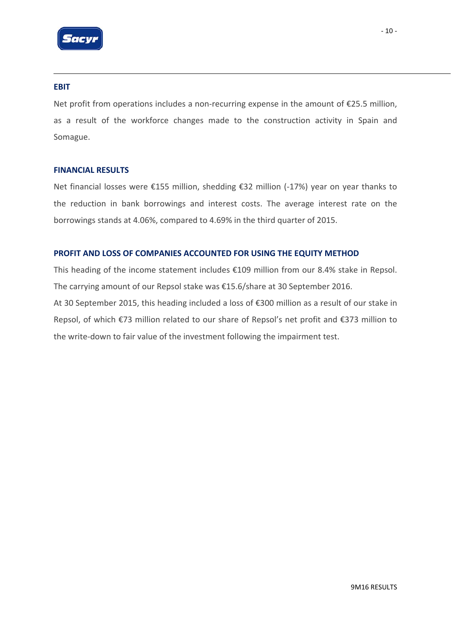

#### **EBIT**

Net profit from operations includes a non-recurring expense in the amount of  $E25.5$  million, as a result of the workforce changes made to the construction activity in Spain and Somague.

#### **FINANCIAL RESULTS**

Net financial losses were €155 million, shedding €32 million (‐17%) year on year thanks to the reduction in bank borrowings and interest costs. The average interest rate on the borrowings stands at 4.06%, compared to 4.69% in the third quarter of 2015.

### **PROFIT AND LOSS OF COMPANIES ACCOUNTED FOR USING THE EQUITY METHOD**

This heading of the income statement includes €109 million from our 8.4% stake in Repsol. The carrying amount of our Repsol stake was €15.6/share at 30 September 2016. At 30 September 2015, this heading included a loss of €300 million as a result of our stake in Repsol, of which €73 million related to our share of Repsol's net profit and €373 million to the write-down to fair value of the investment following the impairment test.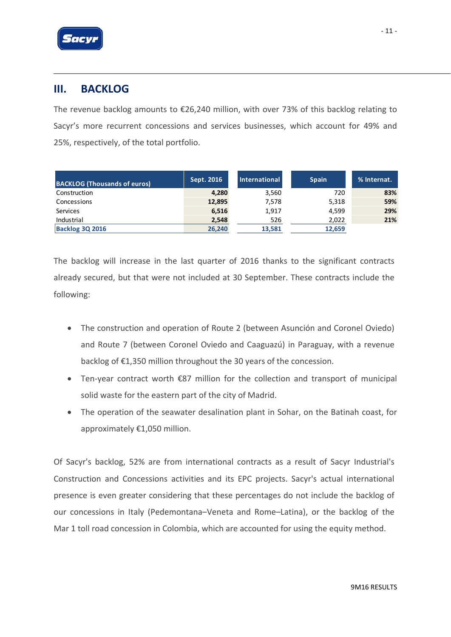

### **III. BACKLOG**

The revenue backlog amounts to €26,240 million, with over 73% of this backlog relating to Sacyr's more recurrent concessions and services businesses, which account for 49% and 25%, respectively, of the total portfolio.

| <b>BACKLOG (Thousands of euros)</b> | Sept. 2016 | International | <b>Spain</b> | % Internat. |
|-------------------------------------|------------|---------------|--------------|-------------|
| Construction                        | 4,280      | 3,560         | 720          | 83%         |
| Concessions                         | 12,895     | 7,578         | 5,318        | 59%         |
| Services                            | 6,516      | 1,917         | 4.599        | 29%         |
| Industrial                          | 2,548      | 526           | 2,022        | 21%         |
| <b>Backlog 3Q 2016</b>              | 26,240     | 13,581        | 12,659       |             |

The backlog will increase in the last quarter of 2016 thanks to the significant contracts already secured, but that were not included at 30 September. These contracts include the following:

- The construction and operation of Route 2 (between Asunción and Coronel Oviedo) and Route 7 (between Coronel Oviedo and Caaguazú) in Paraguay, with a revenue backlog of €1,350 million throughout the 30 years of the concession.
- Ten‐year contract worth €87 million for the collection and transport of municipal solid waste for the eastern part of the city of Madrid.
- The operation of the seawater desalination plant in Sohar, on the Batinah coast, for approximately €1,050 million.

Of Sacyr's backlog, 52% are from international contracts as a result of Sacyr Industrial's Construction and Concessions activities and its EPC projects. Sacyr's actual international presence is even greater considering that these percentages do not include the backlog of our concessions in Italy (Pedemontana–Veneta and Rome–Latina), or the backlog of the Mar 1 toll road concession in Colombia, which are accounted for using the equity method.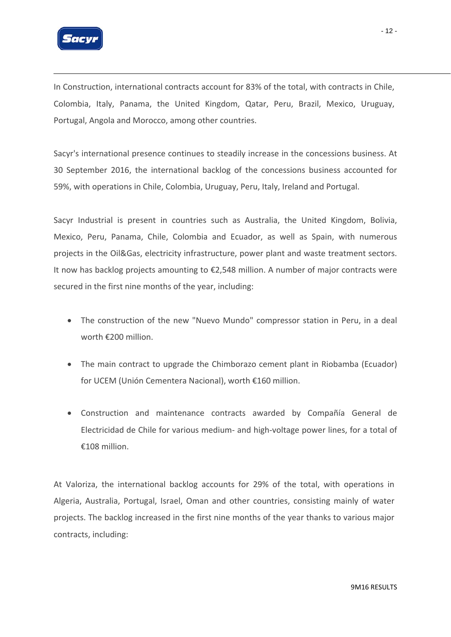

In Construction, international contracts account for 83% of the total, with contracts in Chile, Colombia, Italy, Panama, the United Kingdom, Qatar, Peru, Brazil, Mexico, Uruguay, Portugal, Angola and Morocco, among other countries.

Sacyr's international presence continues to steadily increase in the concessions business. At 30 September 2016, the international backlog of the concessions business accounted for 59%, with operations in Chile, Colombia, Uruguay, Peru, Italy, Ireland and Portugal.

Sacyr Industrial is present in countries such as Australia, the United Kingdom, Bolivia, Mexico, Peru, Panama, Chile, Colombia and Ecuador, as well as Spain, with numerous projects in the Oil&Gas, electricity infrastructure, power plant and waste treatment sectors. It now has backlog projects amounting to €2,548 million. A number of major contracts were secured in the first nine months of the year, including:

- The construction of the new "Nuevo Mundo" compressor station in Peru, in a deal worth €200 million.
- The main contract to upgrade the Chimborazo cement plant in Riobamba (Ecuador) for UCEM (Unión Cementera Nacional), worth €160 million.
- Construction and maintenance contracts awarded by Compañía General de Electricidad de Chile for various medium‐ and high‐voltage power lines, for a total of €108 million.

At Valoriza, the international backlog accounts for 29% of the total, with operations in Algeria, Australia, Portugal, Israel, Oman and other countries, consisting mainly of water projects. The backlog increased in the first nine months of the year thanks to various major contracts, including: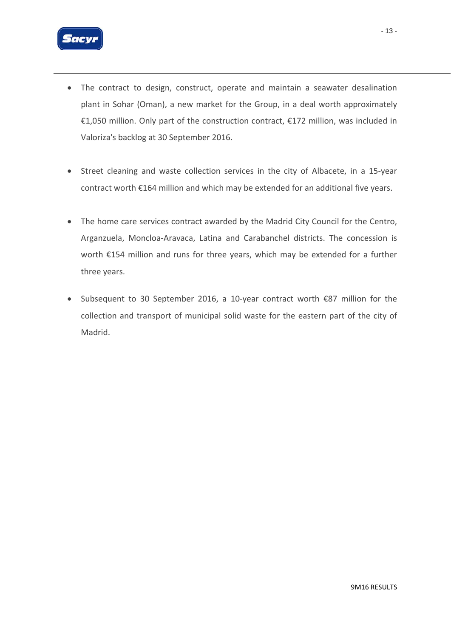

- The contract to design, construct, operate and maintain a seawater desalination plant in Sohar (Oman), a new market for the Group, in a deal worth approximately €1,050 million. Only part of the construction contract, €172 million, was included in Valoriza's backlog at 30 September 2016.
- Street cleaning and waste collection services in the city of Albacete, in a 15‐year contract worth €164 million and which may be extended for an additional five years.
- The home care services contract awarded by the Madrid City Council for the Centro, Arganzuela, Moncloa‐Aravaca, Latina and Carabanchel districts. The concession is worth €154 million and runs for three years, which may be extended for a further three years.
- Subsequent to 30 September 2016, a 10‐year contract worth €87 million for the collection and transport of municipal solid waste for the eastern part of the city of Madrid.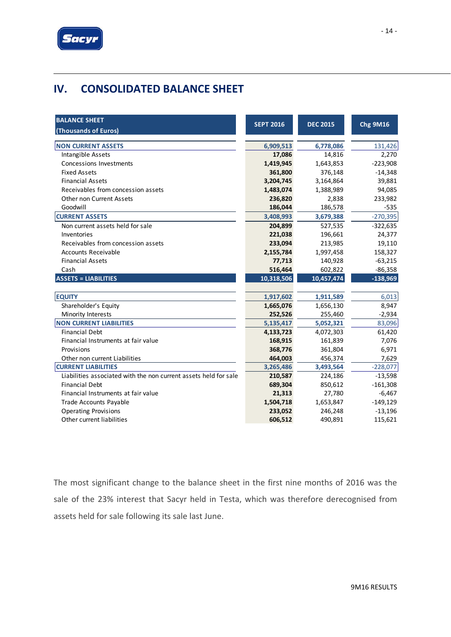

# **IV. CONSOLIDATED BALANCE SHEET**

| <b>BALANCE SHEET</b><br>(Thousands of Euros)                     | <b>SEPT 2016</b> | <b>DEC 2015</b> | <b>Chg 9M16</b> |
|------------------------------------------------------------------|------------------|-----------------|-----------------|
|                                                                  |                  |                 |                 |
| <b>NON CURRENT ASSETS</b>                                        | 6,909,513        | 6,778,086       | 131,426         |
| Intangible Assets                                                | 17,086           | 14,816          | 2,270           |
| Concessions Investments                                          | 1,419,945        | 1,643,853       | $-223,908$      |
| <b>Fixed Assets</b>                                              | 361,800          | 376,148         | $-14,348$       |
| <b>Financial Assets</b>                                          | 3,204,745        | 3,164,864       | 39,881          |
| Receivables from concession assets                               | 1,483,074        | 1,388,989       | 94,085          |
| Other non Current Assets                                         | 236,820          | 2,838           | 233,982         |
| Goodwill                                                         | 186,044          | 186,578         | $-535$          |
| <b>CURRENT ASSETS</b>                                            | 3,408,993        | 3,679,388       | $-270,395$      |
| Non current assets held for sale                                 | 204,899          | 527,535         | $-322,635$      |
| Inventories                                                      | 221,038          | 196,661         | 24,377          |
| Receivables from concession assets                               | 233,094          | 213,985         | 19,110          |
| <b>Accounts Receivable</b>                                       | 2,155,784        | 1,997,458       | 158,327         |
| <b>Financial Assets</b>                                          | 77,713           | 140,928         | $-63,215$       |
| Cash                                                             | 516,464          | 602,822         | $-86,358$       |
| <b>ASSETS = LIABILITIES</b>                                      | 10,318,506       | 10,457,474      | $-138,969$      |
|                                                                  |                  |                 |                 |
| <b>EQUITY</b>                                                    | 1,917,602        | 1,911,589       | 6,013           |
| Shareholder's Equity                                             | 1,665,076        | 1,656,130       | 8,947           |
| Minority Interests                                               | 252,526          | 255,460         | $-2,934$        |
| <b>NON CURRENT LIABILITIES</b>                                   | 5,135,417        | 5,052,321       | 83,096          |
| <b>Financial Debt</b>                                            | 4,133,723        | 4,072,303       | 61,420          |
| Financial Instruments at fair value                              | 168,915          | 161,839         | 7,076           |
| Provisions                                                       | 368,776          | 361,804         | 6,971           |
| Other non current Liabilities                                    | 464,003          | 456,374         | 7,629           |
| <b>CURRENT LIABILITIES</b>                                       | 3,265,486        | 3,493,564       | $-228,077$      |
| Liabilities associated with the non current assets held for sale | 210,587          | 224,186         | $-13,598$       |
| <b>Financial Debt</b>                                            | 689,304          | 850,612         | $-161,308$      |
| Financial Instruments at fair value                              | 21,313           | 27,780          | $-6,467$        |
| Trade Accounts Payable                                           | 1,504,718        | 1,653,847       | $-149,129$      |
| <b>Operating Provisions</b>                                      | 233,052          | 246,248         | $-13,196$       |
| Other current liabilities                                        | 606,512          | 490,891         | 115,621         |

The most significant change to the balance sheet in the first nine months of 2016 was the sale of the 23% interest that Sacyr held in Testa, which was therefore derecognised from assets held for sale following its sale last June.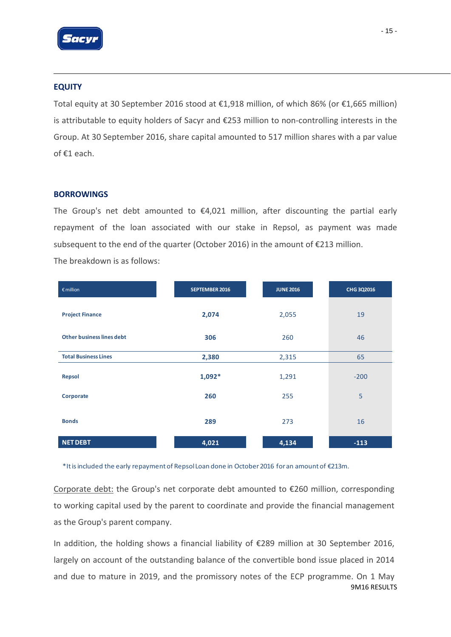

### **EQUITY**

Total equity at 30 September 2016 stood at €1,918 million, of which 86% (or €1,665 million) is attributable to equity holders of Sacyr and €253 million to non‐controlling interests in the Group. At 30 September 2016, share capital amounted to 517 million shares with a par value of €1 each.

### **BORROWINGS**

The Group's net debt amounted to  $\epsilon$ 4,021 million, after discounting the partial early repayment of the loan associated with our stake in Repsol, as payment was made subsequent to the end of the quarter (October 2016) in the amount of  $\epsilon$ 213 million. The breakdown is as follows:

| $\epsilon$ million          | <b>SEPTEMBER 2016</b> | <b>JUNE 2016</b> | <b>CHG 3Q2016</b> |
|-----------------------------|-----------------------|------------------|-------------------|
| <b>Project Finance</b>      | 2,074                 | 2,055            | 19                |
| Other business lines debt   | 306                   | 260              | 46                |
| <b>Total Business Lines</b> | 2,380                 | 2,315            | 65                |
| <b>Repsol</b>               | $1,092*$              | 1,291            | $-200$            |
| Corporate                   | 260                   | 255              | 5                 |
| <b>Bonds</b>                | 289                   | 273              | 16                |
| <b>NET DEBT</b>             | 4,021                 | 4,134            | $-113$            |

\*Itisincluded the early repaymentof RepsolLoan done in October2016 foran amountof €213m.

Corporate debt: the Group's net corporate debt amounted to €260 million, corresponding to working capital used by the parent to coordinate and provide the financial management as the Group's parent company.

9M16 RESULTS In addition, the holding shows a financial liability of €289 million at 30 September 2016, largely on account of the outstanding balance of the convertible bond issue placed in 2014 and due to mature in 2019, and the promissory notes of the ECP programme. On 1 May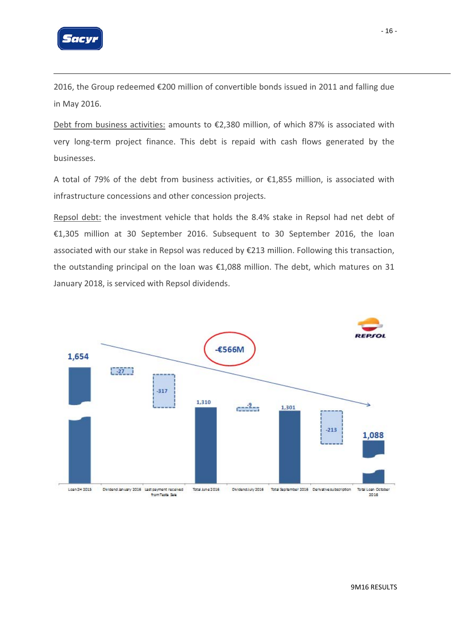

2016, the Group redeemed €200 million of convertible bonds issued in 2011 and falling due in May 2016.

Debt from business activities: amounts to €2,380 million, of which 87% is associated with very long‐term project finance. This debt is repaid with cash flows generated by the businesses.

A total of 79% of the debt from business activities, or €1,855 million, is associated with infrastructure concessions and other concession projects.

Repsol debt: the investment vehicle that holds the 8.4% stake in Repsol had net debt of €1,305 million at 30 September 2016. Subsequent to 30 September 2016, the loan associated with our stake in Repsol was reduced by €213 million. Following this transaction, the outstanding principal on the loan was €1,088 million. The debt, which matures on 31 January 2018, is serviced with Repsol dividends.

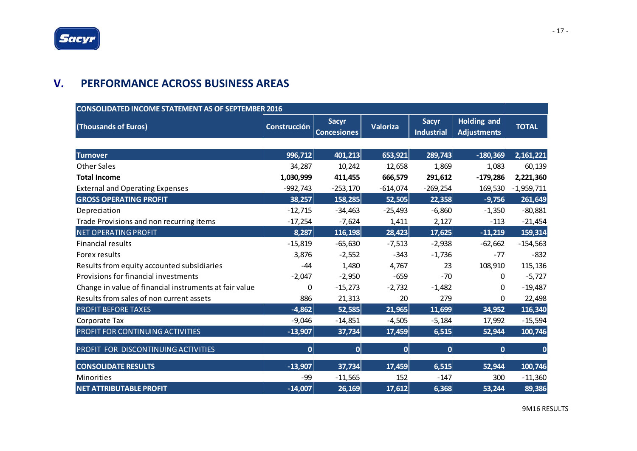### **V. PERFORMANCE ACROSS BUSINESS AREAS**

| <b>CONSOLIDATED INCOME STATEMENT AS OF SEPTEMBER 2016</b> |                     |                                    |                 |                                   |                                          |              |
|-----------------------------------------------------------|---------------------|------------------------------------|-----------------|-----------------------------------|------------------------------------------|--------------|
| (Thousands of Euros)                                      | <b>Construcción</b> | <b>Sacyr</b><br><b>Concesiones</b> | <b>Valoriza</b> | <b>Sacyr</b><br><b>Industrial</b> | <b>Holding and</b><br><b>Adjustments</b> | <b>TOTAL</b> |
|                                                           |                     |                                    |                 |                                   |                                          |              |
| <b>Turnover</b>                                           | 996,712             | 401,213                            | 653,921         | 289,743                           | $-180,369$                               | 2,161,221    |
| <b>Other Sales</b>                                        | 34,287              | 10,242                             | 12,658          | 1,869                             | 1,083                                    | 60,139       |
| <b>Total Income</b>                                       | 1,030,999           | 411,455                            | 666,579         | 291,612                           | $-179,286$                               | 2,221,360    |
| <b>External and Operating Expenses</b>                    | $-992,743$          | $-253,170$                         | $-614,074$      | $-269,254$                        | 169,530                                  | $-1,959,711$ |
| <b>GROSS OPERATING PROFIT</b>                             | 38,257              | 158,285                            | 52,505          | 22,358                            | $-9,756$                                 | 261,649      |
| Depreciation                                              | $-12,715$           | $-34,463$                          | $-25,493$       | $-6,860$                          | $-1,350$                                 | $-80,881$    |
| Trade Provisions and non recurring items                  | $-17,254$           | $-7,624$                           | 1,411           | 2,127                             | $-113$                                   | $-21,454$    |
| <b>NET OPERATING PROFIT</b>                               | 8,287               | 116,198                            | 28,423          | 17,625                            | $-11,219$                                | 159,314      |
| <b>Financial results</b>                                  | $-15,819$           | $-65,630$                          | $-7,513$        | $-2,938$                          | $-62,662$                                | $-154,563$   |
| Forex results                                             | 3,876               | $-2,552$                           | $-343$          | $-1,736$                          | $-77$                                    | $-832$       |
| Results from equity accounted subsidiaries                | $-44$               | 1,480                              | 4,767           | 23                                | 108,910                                  | 115,136      |
| Provisions for financial investments                      | $-2,047$            | $-2,950$                           | $-659$          | $-70$                             | 0                                        | $-5,727$     |
| Change in value of financial instruments at fair value    | 0                   | $-15,273$                          | $-2,732$        | $-1,482$                          | $\Omega$                                 | $-19,487$    |
| Results from sales of non current assets                  | 886                 | 21,313                             | 20              | 279                               | 0                                        | 22,498       |
| <b>PROFIT BEFORE TAXES</b>                                | $-4,862$            | 52,585                             | 21,965          | 11,699                            | 34,952                                   | 116,340      |
| Corporate Tax                                             | $-9,046$            | $-14,851$                          | $-4,505$        | $-5,184$                          | 17,992                                   | $-15,594$    |
| PROFIT FOR CONTINUING ACTIVITIES                          | $-13,907$           | 37,734                             | 17,459          | 6,515                             | 52,944                                   | 100,746      |
| PROFIT FOR DISCONTINUING ACTIVITIES                       | $\overline{0}$      | 0                                  | $\mathbf{0}$    | 0                                 | $\Omega$                                 | $\Omega$     |
| <b>CONSOLIDATE RESULTS</b>                                | $-13,907$           | 37,734                             | 17,459          | 6,515                             | 52,944                                   | 100,746      |
| Minorities                                                | $-99$               | $-11,565$                          | 152             | $-147$                            | 300                                      | $-11,360$    |
| <b>NET ATTRIBUTABLE PROFIT</b>                            | $-14,007$           | 26,169                             | 17,612          | 6,368                             | 53,244                                   | 89,386       |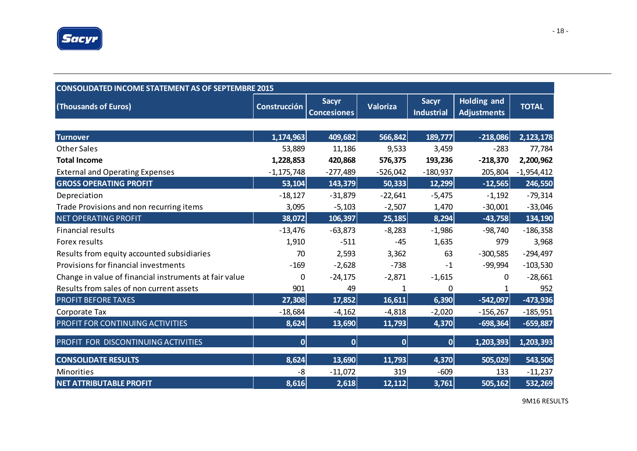

| <b>CONSOLIDATED INCOME STATEMENT AS OF SEPTEMBRE 2015</b> |                     |                                    |            |                                   |                                          |              |  |  |  |
|-----------------------------------------------------------|---------------------|------------------------------------|------------|-----------------------------------|------------------------------------------|--------------|--|--|--|
| (Thousands of Euros)                                      | <b>Construcción</b> | <b>Sacyr</b><br><b>Concesiones</b> | Valoriza   | <b>Sacyr</b><br><b>Industrial</b> | <b>Holding and</b><br><b>Adjustments</b> | <b>TOTAL</b> |  |  |  |
|                                                           |                     |                                    |            |                                   |                                          |              |  |  |  |
| <b>Turnover</b>                                           | 1,174,963           | 409,682                            | 566,842    | 189,777                           | $-218,086$                               | 2,123,178    |  |  |  |
| <b>Other Sales</b>                                        | 53,889              | 11,186                             | 9,533      | 3,459                             | $-283$                                   | 77,784       |  |  |  |
| <b>Total Income</b>                                       | 1,228,853           | 420,868                            | 576,375    | 193,236                           | $-218,370$                               | 2,200,962    |  |  |  |
| <b>External and Operating Expenses</b>                    | $-1, 175, 748$      | $-277,489$                         | $-526,042$ | $-180,937$                        | 205,804                                  | $-1,954,412$ |  |  |  |
| <b>GROSS OPERATING PROFIT</b>                             | 53,104              | 143,379                            | 50,333     | 12,299                            | $-12,565$                                | 246,550      |  |  |  |
| Depreciation                                              | $-18,127$           | $-31,879$                          | $-22,641$  | $-5,475$                          | $-1,192$                                 | $-79,314$    |  |  |  |
| Trade Provisions and non recurring items                  | 3,095               | $-5,103$                           | $-2,507$   | 1,470                             | $-30,001$                                | $-33,046$    |  |  |  |
| <b>NET OPERATING PROFIT</b>                               | 38,072              | 106,397                            | 25,185     | 8,294                             | $-43,758$                                | 134,190      |  |  |  |
| <b>Financial results</b>                                  | $-13,476$           | $-63,873$                          | $-8,283$   | $-1,986$                          | $-98,740$                                | $-186,358$   |  |  |  |
| Forex results                                             | 1,910               | $-511$                             | $-45$      | 1,635                             | 979                                      | 3,968        |  |  |  |
| Results from equity accounted subsidiaries                | 70                  | 2,593                              | 3,362      | 63                                | $-300,585$                               | $-294,497$   |  |  |  |
| Provisions for financial investments                      | $-169$              | $-2,628$                           | $-738$     | $-1$                              | $-99,994$                                | $-103,530$   |  |  |  |
| Change in value of financial instruments at fair value    | 0                   | $-24,175$                          | $-2,871$   | $-1,615$                          | 0                                        | $-28,661$    |  |  |  |
| Results from sales of non current assets                  | 901                 | 49                                 | 1          | 0                                 | 1                                        | 952          |  |  |  |
| <b>PROFIT BEFORE TAXES</b>                                | 27,308              | 17,852                             | 16,611     | 6,390                             | $-542,097$                               | $-473,936$   |  |  |  |
| Corporate Tax                                             | $-18,684$           | $-4,162$                           | $-4,818$   | $-2,020$                          | $-156,267$                               | $-185,951$   |  |  |  |
| PROFIT FOR CONTINUING ACTIVITIES                          | 8,624               | 13,690                             | 11,793     | 4,370                             | $-698,364$                               | $-659,887$   |  |  |  |
| PROFIT FOR DISCONTINUING ACTIVITIES                       | 0                   | $\overline{0}$                     | 0          | 0                                 | 1,203,393                                | 1,203,393    |  |  |  |
| <b>CONSOLIDATE RESULTS</b>                                | 8,624               | 13,690                             | 11,793     | 4,370                             | 505,029                                  | 543,506      |  |  |  |
| <b>Minorities</b>                                         | -8                  | $-11,072$                          | 319        | $-609$                            | 133                                      | $-11,237$    |  |  |  |
| <b>NET ATTRIBUTABLE PROFIT</b>                            | 8,616               | 2,618                              | 12,112     | 3,761                             | 505,162                                  | 532,269      |  |  |  |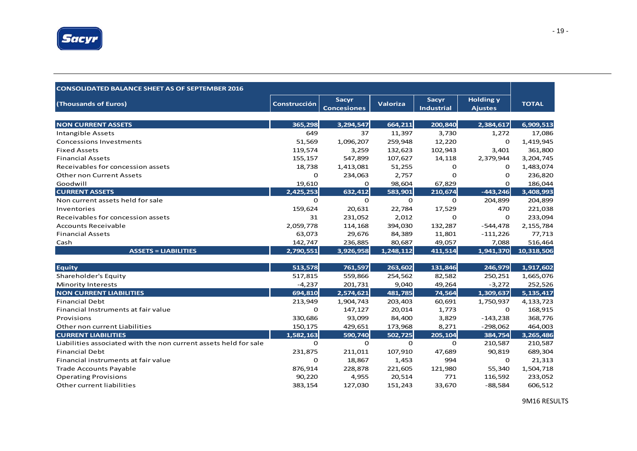

| <b>CONSOLIDATED BALANCE SHEET AS OF SEPTEMBER 2016</b>           |                     |                                    |                 |                            |                                    |              |
|------------------------------------------------------------------|---------------------|------------------------------------|-----------------|----------------------------|------------------------------------|--------------|
| (Thousands of Euros)                                             | <b>Construcción</b> | <b>Sacyr</b><br><b>Concesiones</b> | <b>Valoriza</b> | Sacyr<br><b>Industrial</b> | <b>Holding y</b><br><b>Ajustes</b> | <b>TOTAL</b> |
|                                                                  |                     |                                    |                 |                            |                                    |              |
| <b>NON CURRENT ASSETS</b>                                        | 365,298             | 3,294,547                          | 664,211         | 200,840                    | 2,384,617                          | 6,909,513    |
| <b>Intangible Assets</b>                                         | 649                 | 37                                 | 11,397          | 3,730                      | 1,272                              | 17,086       |
| <b>Concessions Investments</b>                                   | 51,569              | 1,096,207                          | 259,948         | 12,220                     | 0                                  | 1,419,945    |
| <b>Fixed Assets</b>                                              | 119,574             | 3,259                              | 132,623         | 102,943                    | 3,401                              | 361,800      |
| <b>Financial Assets</b>                                          | 155,157             | 547,899                            | 107,627         | 14,118                     | 2,379,944                          | 3,204,745    |
| Receivables for concession assets                                | 18,738              | 1,413,081                          | 51,255          | 0                          | 0                                  | 1,483,074    |
| <b>Other non Current Assets</b>                                  | 0                   | 234,063                            | 2,757           | 0                          | 0                                  | 236,820      |
| Goodwill                                                         | 19,610              | 0                                  | 98,604          | 67,829                     | 0                                  | 186,044      |
| <b>CURRENT ASSETS</b>                                            | 2,425,253           | 632,412                            | 583,901         | 210,674                    | $-443,246$                         | 3,408,993    |
| Non current assets held for sale                                 | $\Omega$            | $\mathbf 0$                        | $\mathbf 0$     | $\mathbf 0$                | 204,899                            | 204,899      |
| Inventories                                                      | 159,624             | 20,631                             | 22,784          | 17,529                     | 470                                | 221,038      |
| Receivables for concession assets                                | 31                  | 231,052                            | 2,012           | $\Omega$                   | 0                                  | 233,094      |
| <b>Accounts Receivable</b>                                       | 2,059,778           | 114,168                            | 394,030         | 132,287                    | $-544,478$                         | 2, 155, 784  |
| <b>Financial Assets</b>                                          | 63,073              | 29,676                             | 84,389          | 11,801                     | $-111,226$                         | 77,713       |
| Cash                                                             | 142,747             | 236,885                            | 80,687          | 49,057                     | 7,088                              | 516,464      |
| <b>ASSETS = LIABILITIES</b>                                      | 2,790,551           | 3,926,958                          | 1,248,112       | 411,514                    | 1,941,370                          | 10,318,506   |
|                                                                  |                     |                                    |                 |                            |                                    |              |
| <b>Equity</b>                                                    | 513,578             | 761,597                            | 263,602         | 131,846                    | 246.979                            | 1,917,602    |
| Shareholder's Equity                                             | 517,815             | 559,866                            | 254,562         | 82,582                     | 250,251                            | 1,665,076    |
| <b>Minority Interests</b>                                        | $-4,237$            | 201,731                            | 9,040           | 49,264                     | $-3,272$                           | 252,526      |
| <b>NON CURRENT LIABILITIES</b>                                   | 694,810             | 2,574,621                          | 481,785         | 74,564                     | 1,309,637                          | 5,135,417    |
| <b>Financial Debt</b>                                            | 213,949             | 1,904,743                          | 203,403         | 60,691                     | 1,750,937                          | 4,133,723    |
| Financial Instruments at fair value                              | 0                   | 147,127                            | 20,014          | 1,773                      | 0                                  | 168,915      |
| Provisions                                                       | 330,686             | 93,099                             | 84,400          | 3,829                      | $-143,238$                         | 368,776      |
| Other non current Liabilities                                    | 150,175             | 429,651                            | 173,968         | 8,271                      | $-298,062$                         | 464,003      |
| <b>CURRENT LIABILITIES</b>                                       | 1,582,163           | 590,740                            | 502,725         | 205,104                    | 384,754                            | 3,265,486    |
| Liabilities associated with the non current assets held for sale | $\mathbf 0$         | 0                                  | $\mathbf 0$     | 0                          | 210,587                            | 210,587      |
| <b>Financial Debt</b>                                            | 231,875             | 211,011                            | 107,910         | 47,689                     | 90,819                             | 689,304      |
| Financial instruments at fair value                              | 0                   | 18,867                             | 1,453           | 994                        | 0                                  | 21,313       |
| <b>Trade Accounts Payable</b>                                    | 876,914             | 228,878                            | 221,605         | 121,980                    | 55,340                             | 1,504,718    |
| <b>Operating Provisions</b>                                      | 90,220              | 4,955                              | 20,514          | 771                        | 116,592                            | 233,052      |
| Other current liabilities                                        | 383,154             | 127,030                            | 151,243         | 33,670                     | $-88,584$                          | 606,512      |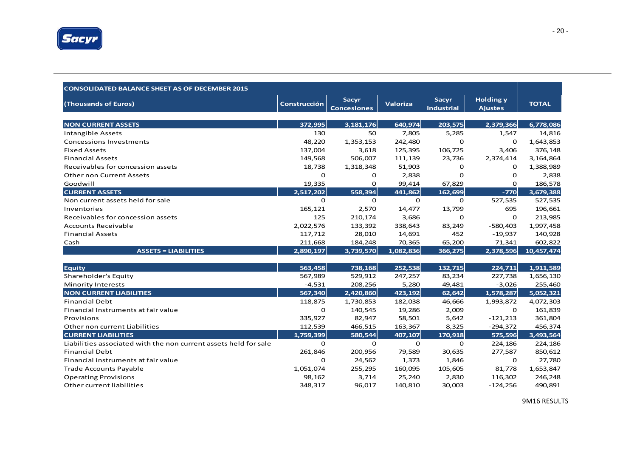

| <b>CONSOLIDATED BALANCE SHEET AS OF DECEMBER 2015</b>            |                     |                                    |                 |                            |                                    |              |
|------------------------------------------------------------------|---------------------|------------------------------------|-----------------|----------------------------|------------------------------------|--------------|
| (Thousands of Euros)                                             | <b>Construcción</b> | <b>Sacyr</b><br><b>Concesiones</b> | <b>Valoriza</b> | Sacyr<br><b>Industrial</b> | <b>Holding y</b><br><b>Ajustes</b> | <b>TOTAL</b> |
|                                                                  |                     |                                    |                 |                            |                                    |              |
| <b>NON CURRENT ASSETS</b>                                        | 372,995             | 3, 181, 176                        | 640,974         | 203,575                    | 2,379,366                          | 6,778,086    |
| <b>Intangible Assets</b>                                         | 130                 | 50                                 | 7,805           | 5,285                      | 1,547                              | 14,816       |
| <b>Concessions Investments</b>                                   | 48,220              | 1,353,153                          | 242,480         | $\mathbf 0$                | $\mathbf{O}$                       | 1,643,853    |
| <b>Fixed Assets</b>                                              | 137,004             | 3,618                              | 125,395         | 106,725                    | 3,406                              | 376,148      |
| <b>Financial Assets</b>                                          | 149,568             | 506,007                            | 111,139         | 23,736                     | 2,374,414                          | 3,164,864    |
| Receivables for concession assets                                | 18,738              | 1,318,348                          | 51,903          | 0                          | 0                                  | 1,388,989    |
| <b>Other non Current Assets</b>                                  | $\mathbf 0$         | 0                                  | 2,838           | $\Omega$                   | 0                                  | 2,838        |
| Goodwill                                                         | 19,335              | 0                                  | 99,414          | 67,829                     | 0                                  | 186,578      |
| <b>CURRENT ASSETS</b>                                            | 2,517,202           | 558,394                            | 441,862         | 162,699                    | $-770$                             | 3,679,388    |
| Non current assets held for sale                                 | $\mathbf 0$         | $\mathbf 0$                        | $\mathbf 0$     | $\mathbf 0$                | 527,535                            | 527,535      |
| Inventories                                                      | 165,121             | 2,570                              | 14,477          | 13,799                     | 695                                | 196,661      |
| Receivables for concession assets                                | 125                 | 210,174                            | 3,686           | $\Omega$                   | $\mathbf 0$                        | 213,985      |
| <b>Accounts Receivable</b>                                       | 2,022,576           | 133,392                            | 338,643         | 83,249                     | $-580,403$                         | 1,997,458    |
| <b>Financial Assets</b>                                          | 117,712             | 28,010                             | 14,691          | 452                        | $-19,937$                          | 140,928      |
| Cash                                                             | 211,668             | 184,248                            | 70,365          | 65,200                     | 71,341                             | 602,822      |
| <b>ASSETS = LIABILITIES</b>                                      | 2,890,197           | 3,739,570                          | 1,082,836       | 366,275                    | 2,378,596                          | 10,457,474   |
| <b>Equity</b>                                                    | 563,458             | 738,168                            | 252,538         | 132,715                    | 224,711                            | 1,911,589    |
| Shareholder's Equity                                             | 567,989             | 529,912                            | 247,257         | 83,234                     | 227,738                            | 1,656,130    |
| <b>Minority Interests</b>                                        | $-4,531$            | 208,256                            | 5,280           | 49,481                     | $-3,026$                           | 255,460      |
| <b>NON CURRENT LIABILITIES</b>                                   | 567,340             | 2,420,860                          | 423,192         | 62,642                     | 1,578,287                          | 5,052,321    |
| <b>Financial Debt</b>                                            | 118,875             | 1,730,853                          | 182,038         | 46,666                     | 1,993,872                          | 4,072,303    |
| Financial Instruments at fair value                              | $\mathbf 0$         | 140,545                            | 19,286          | 2,009                      | $\mathbf 0$                        | 161,839      |
| Provisions                                                       | 335,927             | 82,947                             | 58,501          | 5,642                      | $-121,213$                         | 361,804      |
| Other non current Liabilities                                    | 112,539             | 466,515                            | 163,367         | 8,325                      | $-294,372$                         | 456,374      |
| <b>CURRENT LIABILITIES</b>                                       | 1,759,399           | 580,544                            | 407,107         | 170,918                    | 575,596                            | 3,493,564    |
| Liabilities associated with the non current assets held for sale | $\mathbf 0$         | 0                                  | 0               | O                          | 224,186                            | 224,186      |
| <b>Financial Debt</b>                                            | 261,846             | 200,956                            | 79,589          | 30,635                     | 277,587                            | 850,612      |
| Financial instruments at fair value                              | 0                   | 24,562                             | 1,373           | 1,846                      | 0                                  | 27,780       |
| <b>Trade Accounts Payable</b>                                    | 1,051,074           | 255,295                            | 160,095         | 105,605                    | 81,778                             | 1,653,847    |
| <b>Operating Provisions</b>                                      | 98,162              | 3,714                              | 25,240          | 2,830                      | 116,302                            | 246,248      |
| Other current liabilities                                        | 348,317             | 96,017                             | 140,810         | 30,003                     | $-124,256$                         | 490,891      |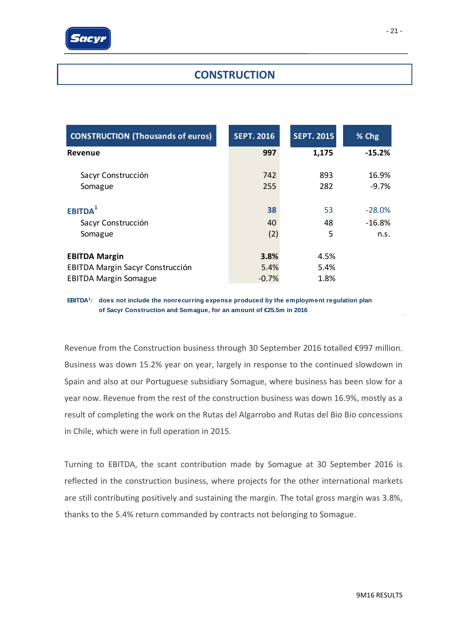

### **CONSTRUCTION**

| <b>CONSTRUCTION (Thousands of euros)</b> | <b>SEPT. 2016</b> | <b>SEPT. 2015</b> | % Chg     |
|------------------------------------------|-------------------|-------------------|-----------|
| <b>Revenue</b>                           | 997               | 1,175             | $-15.2%$  |
| Sacyr Construcción                       | 742               | 893               | 16.9%     |
| Somague                                  | 255               | 282               | $-9.7\%$  |
| EBITDA <sup>1</sup>                      | 38                | 53                | $-28.0\%$ |
| Sacyr Construcción                       | 40                | 48                | $-16.8%$  |
| Somague                                  | (2)               | 5                 | n.s.      |
| <b>EBITDA Margin</b>                     | 3.8%              | 4.5%              |           |
| <b>EBITDA Margin Sacyr Construcción</b>  | 5.4%              | 5.4%              |           |
| <b>EBITDA Margin Somague</b>             | $-0.7%$           | 1.8%              |           |

**EBITDA1: does not include the nonrecurring expense produced by the employment regulation plan of Sacyr Construction and Somague, for an amount of €25.5m in 2016**

Revenue from the Construction business through 30 September 2016 totalled €997 million. Business was down 15.2% year on year, largely in response to the continued slowdown in Spain and also at our Portuguese subsidiary Somague, where business has been slow for a year now. Revenue from the rest of the construction business was down 16.9%, mostly as a result of completing the work on the Rutas del Algarrobo and Rutas del Bio Bio concessions in Chile, which were in full operation in 2015.

Turning to EBITDA, the scant contribution made by Somague at 30 September 2016 is reflected in the construction business, where projects for the other international markets are still contributing positively and sustaining the margin. The total gross margin was 3.8%, thanks to the 5.4% return commanded by contracts not belonging to Somague.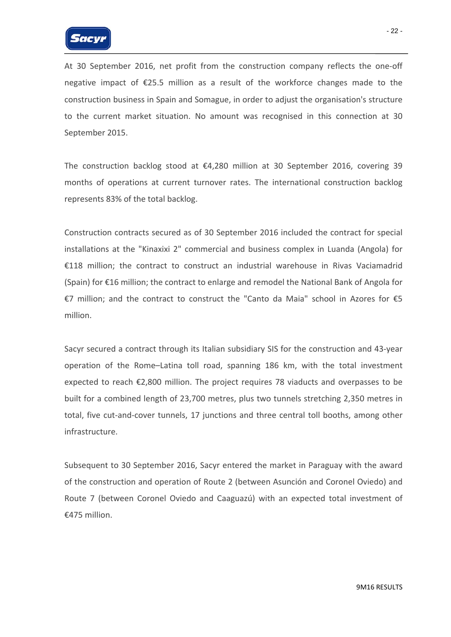

At 30 September 2016, net profit from the construction company reflects the one‐off negative impact of €25.5 million as a result of the workforce changes made to the construction business in Spain and Somague, in order to adjust the organisation's structure to the current market situation. No amount was recognised in this connection at 30 September 2015.

The construction backlog stood at €4,280 million at 30 September 2016, covering 39 months of operations at current turnover rates. The international construction backlog represents 83% of the total backlog.

Construction contracts secured as of 30 September 2016 included the contract for special installations at the "Kinaxixi 2" commercial and business complex in Luanda (Angola) for €118 million; the contract to construct an industrial warehouse in Rivas Vaciamadrid (Spain) for €16 million; the contract to enlarge and remodel the National Bank of Angola for €7 million; and the contract to construct the "Canto da Maia" school in Azores for €5 million.

Sacyr secured a contract through its Italian subsidiary SIS for the construction and 43‐year operation of the Rome–Latina toll road, spanning 186 km, with the total investment expected to reach €2,800 million. The project requires 78 viaducts and overpasses to be built for a combined length of 23,700 metres, plus two tunnels stretching 2,350 metres in total, five cut‐and‐cover tunnels, 17 junctions and three central toll booths, among other infrastructure.

Subsequent to 30 September 2016, Sacyr entered the market in Paraguay with the award of the construction and operation of Route 2 (between Asunción and Coronel Oviedo) and Route 7 (between Coronel Oviedo and Caaguazú) with an expected total investment of €475 million.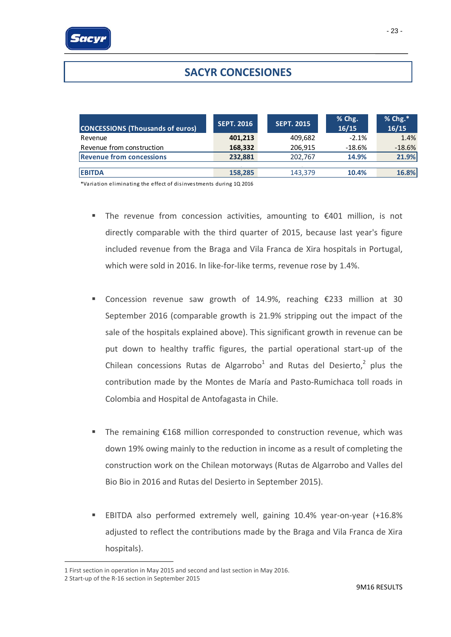# **SACYR CONCESIONES**

| <b>CONCESSIONS (Thousands of euros)</b> | <b>SEPT. 2016</b> | <b>SEPT. 2015</b> | % Chg.<br>16/15 | $%$ Chg. $*$<br>16/15 |
|-----------------------------------------|-------------------|-------------------|-----------------|-----------------------|
| Revenue                                 | 401,213           | 409,682           | $-2.1%$         | 1.4%                  |
| Revenue from construction               | 168,332           | 206,915           | $-18.6%$        | $-18.6%$              |
| <b>Revenue from concessions</b>         | 232.881           | 202,767           | 14.9%           | 21.9%                 |
|                                         |                   |                   |                 |                       |
| <b>EBITDA</b>                           | 158.285           | 143,379           | 10.4%           | 16.8%                 |

\*Va ria tion elimina ting the e ffect of di sinves tments during 1Q 2016

- The revenue from concession activities, amounting to €401 million, is not directly comparable with the third quarter of 2015, because last year's figure included revenue from the Braga and Vila Franca de Xira hospitals in Portugal, which were sold in 2016. In like-for-like terms, revenue rose by 1.4%.
- Concession revenue saw growth of 14.9%, reaching  $£233$  million at 30 September 2016 (comparable growth is 21.9% stripping out the impact of the sale of the hospitals explained above). This significant growth in revenue can be put down to healthy traffic figures, the partial operational start‐up of the Chilean concessions Rutas de Algarrobo<sup>1</sup> and Rutas del Desierto,<sup>2</sup> plus the contribution made by the Montes de María and Pasto‐Rumichaca toll roads in Colombia and Hospital de Antofagasta in Chile.
- The remaining €168 million corresponded to construction revenue, which was down 19% owing mainly to the reduction in income as a result of completing the construction work on the Chilean motorways (Rutas de Algarrobo and Valles del Bio Bio in 2016 and Rutas del Desierto in September 2015).
- EBITDA also performed extremely well, gaining 10.4% year-on-year (+16.8% adjusted to reflect the contributions made by the Braga and Vila Franca de Xira hospitals).

1

<sup>1</sup> First section in operation in May 2015 and second and last section in May 2016.

<sup>2</sup> Start‐up of the R‐16 section in September 2015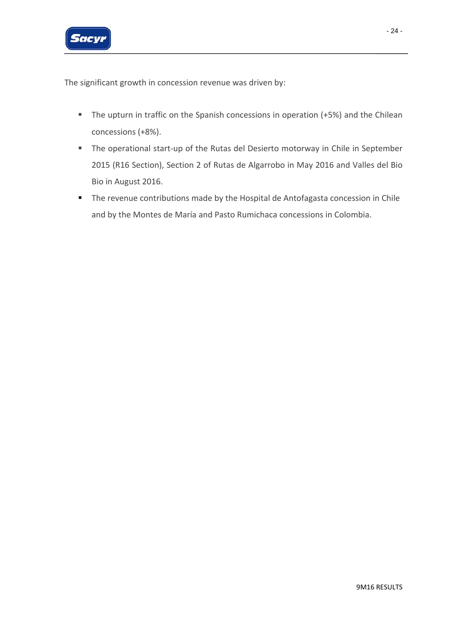

The significant growth in concession revenue was driven by:

- **The upturn in traffic on the Spanish concessions in operation (+5%) and the Chilean** concessions (+8%).
- The operational start-up of the Rutas del Desierto motorway in Chile in September 2015 (R16 Section), Section 2 of Rutas de Algarrobo in May 2016 and Valles del Bio Bio in August 2016.
- **The revenue contributions made by the Hospital de Antofagasta concession in Chile** and by the Montes de María and Pasto Rumichaca concessions in Colombia.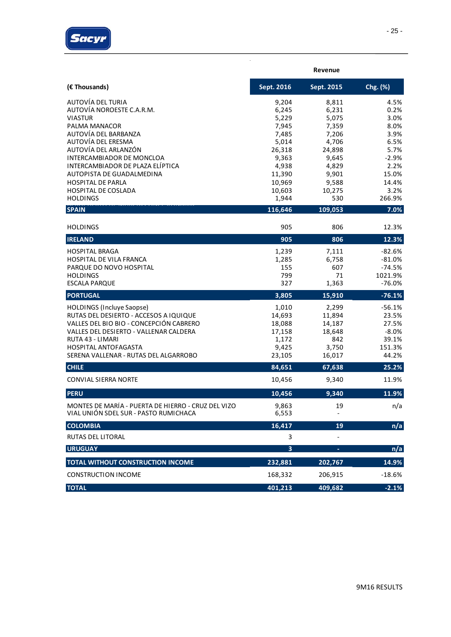

|                                                                                                                                                                                                                                                      |                                                                 | Revenue                                                       |                                                                   |
|------------------------------------------------------------------------------------------------------------------------------------------------------------------------------------------------------------------------------------------------------|-----------------------------------------------------------------|---------------------------------------------------------------|-------------------------------------------------------------------|
| (€ Thousands)                                                                                                                                                                                                                                        | Sept. 2016                                                      | Sept. 2015                                                    | Chg. (%)                                                          |
| AUTOVÍA DEL TURIA<br>AUTOVÍA NOROESTE C.A.R.M.<br><b>VIASTUR</b>                                                                                                                                                                                     | 9,204<br>6,245<br>5,229                                         | 8,811<br>6,231<br>5,075                                       | 4.5%<br>0.2%<br>3.0%                                              |
| PALMA MANACOR<br>AUTOVÍA DEL BARBANZA<br>AUTOVÍA DEL ERESMA                                                                                                                                                                                          | 7,945<br>7,485                                                  | 7,359<br>7,206                                                | 8.0%<br>3.9%                                                      |
| AUTOVÍA DEL ARLANZÓN<br><b>INTERCAMBIADOR DE MONCLOA</b>                                                                                                                                                                                             | 5,014<br>26,318<br>9,363                                        | 4,706<br>24,898<br>9,645                                      | 6.5%<br>5.7%<br>$-2.9%$                                           |
| INTERCAMBIADOR DE PLAZA ELÍPTICA<br>AUTOPISTA DE GUADALMEDINA<br><b>HOSPITAL DE PARLA</b>                                                                                                                                                            | 4,938<br>11,390<br>10,969                                       | 4,829<br>9,901<br>9,588                                       | 2.2%<br>15.0%<br>14.4%                                            |
| HOSPITAL DE COSLADA<br><b>HOLDINGS</b>                                                                                                                                                                                                               | 10,603<br>1,944                                                 | 10,275<br>530                                                 | 3.2%<br>266.9%                                                    |
| <b>SPAIN</b>                                                                                                                                                                                                                                         | 116,646                                                         | 109,053                                                       | 7.0%                                                              |
| <b>HOLDINGS</b>                                                                                                                                                                                                                                      | 905                                                             | 806                                                           | 12.3%                                                             |
| <b>IRELAND</b>                                                                                                                                                                                                                                       | 905                                                             | 806                                                           | 12.3%                                                             |
| <b>HOSPITAL BRAGA</b><br>HOSPITAL DE VILA FRANCA<br>PARQUE DO NOVO HOSPITAL<br><b>HOLDINGS</b><br><b>ESCALA PARQUE</b>                                                                                                                               | 1,239<br>1,285<br>155<br>799<br>327                             | 7,111<br>6,758<br>607<br>71<br>1,363                          | $-82.6%$<br>$-81.0%$<br>$-74.5%$<br>1021.9%<br>$-76.0%$           |
| <b>PORTUGAL</b>                                                                                                                                                                                                                                      | 3,805                                                           | 15,910                                                        | $-76.1%$                                                          |
| <b>HOLDINGS (Incluye Saopse)</b><br>RUTAS DEL DESIERTO - ACCESOS A IQUIQUE<br>VALLES DEL BIO BIO - CONCEPCIÓN CABRERO<br>VALLES DEL DESIERTO - VALLENAR CALDERA<br>RUTA 43 - LIMARI<br>HOSPITAL ANTOFAGASTA<br>SERENA VALLENAR - RUTAS DEL ALGARROBO | 1,010<br>14,693<br>18,088<br>17,158<br>1,172<br>9,425<br>23,105 | 2,299<br>11,894<br>14,187<br>18,648<br>842<br>3,750<br>16,017 | $-56.1%$<br>23.5%<br>27.5%<br>$-8.0%$<br>39.1%<br>151.3%<br>44.2% |
| <b>CHILE</b>                                                                                                                                                                                                                                         | 84,651                                                          | 67,638                                                        | 25.2%                                                             |
| <b>CONVIAL SIERRA NORTE</b>                                                                                                                                                                                                                          | 10,456                                                          | 9,340                                                         | 11.9%                                                             |
| <b>PERU</b>                                                                                                                                                                                                                                          | 10,456                                                          | 9,340                                                         | 11.9%                                                             |
| MONTES DE MARÍA - PUERTA DE HIERRO - CRUZ DEL VIZO<br>VIAL UNIÓN SDEL SUR - PASTO RUMICHACA                                                                                                                                                          | 9,863<br>6,553                                                  | 19                                                            | n/a                                                               |
| <b>COLOMBIA</b>                                                                                                                                                                                                                                      | 16,417                                                          | 19                                                            | n/a                                                               |
| <b>RUTAS DEL LITORAL</b>                                                                                                                                                                                                                             | 3                                                               |                                                               |                                                                   |
| <b>URUGUAY</b>                                                                                                                                                                                                                                       | 3                                                               |                                                               | n/a                                                               |
| TOTAL WITHOUT CONSTRUCTION INCOME                                                                                                                                                                                                                    | 232,881                                                         | 202,767                                                       | 14.9%                                                             |
| <b>CONSTRUCTION INCOME</b>                                                                                                                                                                                                                           | 168,332                                                         | 206,915                                                       | $-18.6%$                                                          |
| <b>TOTAL</b>                                                                                                                                                                                                                                         | 401,213                                                         | 409,682                                                       | $-2.1%$                                                           |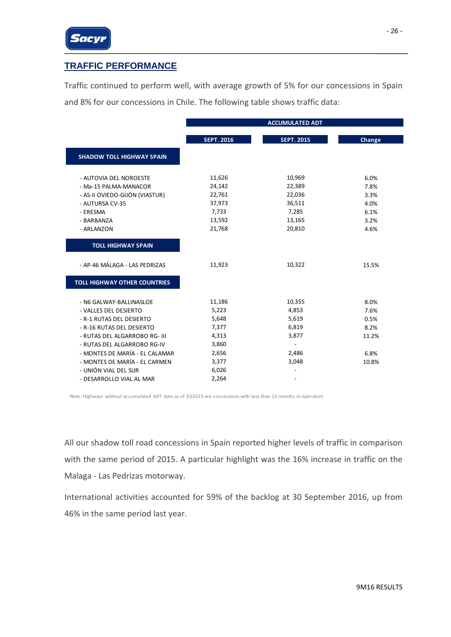### **TRAFFIC PERFORMANCE**

Traffic continued to perform well, with average growth of 5% for our concessions in Spain and 8% for our concessions in Chile. The following table shows traffic data:

|                                     |                   | <b>ACCUMULATED ADT</b> |        |
|-------------------------------------|-------------------|------------------------|--------|
|                                     | <b>SEPT. 2016</b> | <b>SEPT. 2015</b>      | Change |
|                                     |                   |                        |        |
| <b>SHADOW TOLL HIGHWAY SPAIN</b>    |                   |                        |        |
| - AUTOVIA DEL NOROESTE              | 11,626            | 10,969                 | 6.0%   |
| - Ma-15 PALMA-MANACOR               | 24,142            | 22,389                 | 7.8%   |
| - AS-II OVIEDO-GIJÓN (VIASTUR)      | 22,761            | 22,036                 | 3.3%   |
| - AUTURSA CV-35                     | 37,973            | 36,511                 | 4.0%   |
| - ERESMA                            | 7,733             | 7,285                  | 6.1%   |
| - BARBANZA                          | 13,592            | 13,165                 | 3.2%   |
| - ARLANZON                          | 21,768            | 20,810                 | 4.6%   |
|                                     |                   |                        |        |
| <b>TOLL HIGHWAY SPAIN</b>           |                   |                        |        |
| - AP-46 MÁLAGA - LAS PEDRIZAS       | 11,923            | 10,322                 | 15.5%  |
| <b>TOLL HIGHWAY OTHER COUNTRIES</b> |                   |                        |        |
| - N6 GALWAY-BALLINASLOE             | 11,186            | 10,355                 | 8.0%   |
| - VALLES DEL DESIERTO               | 5,223             | 4,853                  | 7.6%   |
| - R-1 RUTAS DEL DESIERTO            | 5,648             | 5,619                  | 0.5%   |
| - R-16 RUTAS DEL DESIERTO           | 7,377             | 6,819                  | 8.2%   |
| - RUTAS DEL ALGARROBO RG- III       | 4,313             | 3,877                  | 11.2%  |
| - RUTAS DEL ALGARROBO RG-IV         | 3,860             | $\overline{a}$         |        |
| - MONTES DE MARÍA - EL CALAMAR      | 2,656             | 2,486                  | 6.8%   |
| - MONTES DE MARÍA - EL CARMEN       | 3,377             | 3,048                  | 10.8%  |
| - UNIÓN VIAL DEL SUR                | 6,026             |                        |        |
| - DESARROLLO VIAL AL MAR            | 2,264             |                        |        |

Note: Highways without accumulated ADT data as of 3Q2015 are concessions with less than 12 months in operation

All our shadow toll road concessions in Spain reported higher levels of traffic in comparison with the same period of 2015. A particular highlight was the 16% increase in traffic on the Malaga ‐ Las Pedrizas motorway.

International activities accounted for 59% of the backlog at 30 September 2016, up from 46% in the same period last year.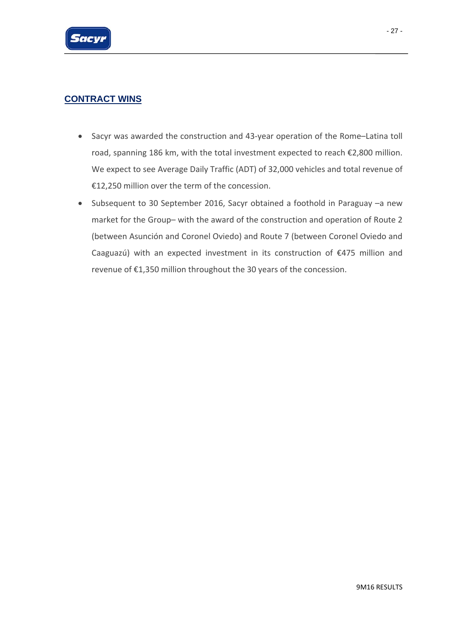

### **CONTRACT WINS**

- Sacyr was awarded the construction and 43‐year operation of the Rome–Latina toll road, spanning 186 km, with the total investment expected to reach €2,800 million. We expect to see Average Daily Traffic (ADT) of 32,000 vehicles and total revenue of €12,250 million over the term of the concession.
- Subsequent to 30 September 2016, Sacyr obtained a foothold in Paraguay –a new market for the Group– with the award of the construction and operation of Route 2 (between Asunción and Coronel Oviedo) and Route 7 (between Coronel Oviedo and Caaguazú) with an expected investment in its construction of €475 million and revenue of €1,350 million throughout the 30 years of the concession.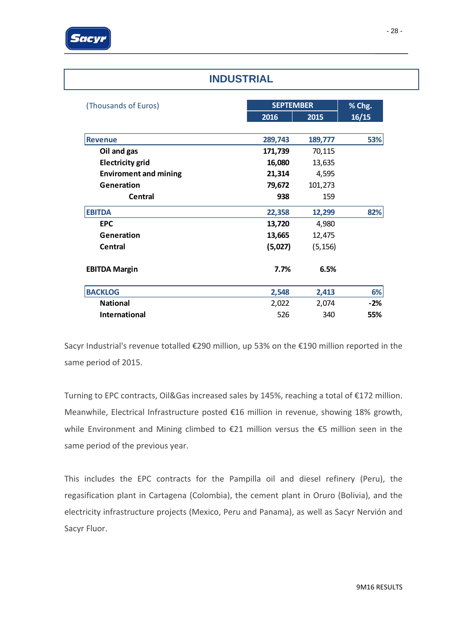| <b>INDUSTRIAL</b>            |         |                  |       |  |
|------------------------------|---------|------------------|-------|--|
| (Thousands of Euros)         |         | <b>SEPTEMBER</b> |       |  |
|                              | 2016    | 2015             | 16/15 |  |
| <b>Revenue</b>               | 289,743 | 189,777          | 53%   |  |
| Oil and gas                  | 171,739 | 70,115           |       |  |
| <b>Electricity grid</b>      | 16,080  | 13,635           |       |  |
| <b>Enviroment and mining</b> | 21,314  | 4,595            |       |  |
| Generation                   | 79,672  | 101,273          |       |  |
| <b>Central</b>               | 938     | 159              |       |  |
| <b>EBITDA</b>                | 22,358  | 12,299           | 82%   |  |
| <b>EPC</b>                   | 13,720  | 4,980            |       |  |
| Generation                   | 13,665  | 12,475           |       |  |
| Central                      | (5,027) | (5, 156)         |       |  |
| <b>EBITDA Margin</b>         | 7.7%    | 6.5%             |       |  |
| <b>BACKLOG</b>               | 2,548   | 2,413            | 6%    |  |
| <b>National</b>              | 2,022   | 2,074            | $-2%$ |  |
| <b>International</b>         | 526     | 340              | 55%   |  |

Sacyr Industrial's revenue totalled €290 million, up 53% on the €190 million reported in the same period of 2015.

Turning to EPC contracts, Oil&Gas increased sales by 145%, reaching a total of €172 million. Meanwhile, Electrical Infrastructure posted €16 million in revenue, showing 18% growth, while Environment and Mining climbed to €21 million versus the €5 million seen in the same period of the previous year.

This includes the EPC contracts for the Pampilla oil and diesel refinery (Peru), the regasification plant in Cartagena (Colombia), the cement plant in Oruro (Bolivia), and the electricity infrastructure projects (Mexico, Peru and Panama), as well as Sacyr Nervión and Sacyr Fluor.

## **INDUSTRIAL**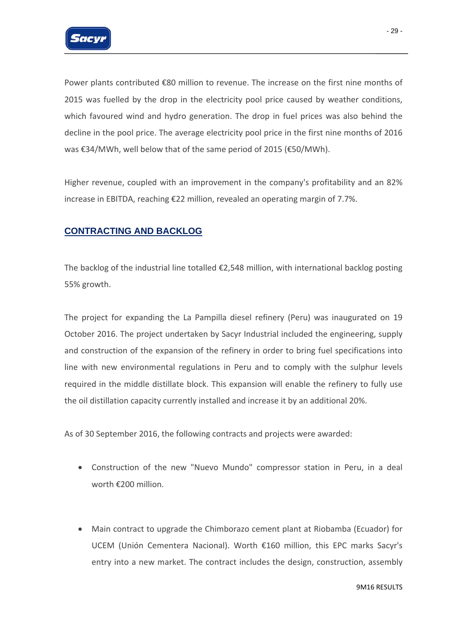

Power plants contributed €80 million to revenue. The increase on the first nine months of 2015 was fuelled by the drop in the electricity pool price caused by weather conditions, which favoured wind and hydro generation. The drop in fuel prices was also behind the decline in the pool price. The average electricity pool price in the first nine months of 2016 was €34/MWh, well below that of the same period of 2015 (€50/MWh).

Higher revenue, coupled with an improvement in the company's profitability and an 82% increase in EBITDA, reaching €22 million, revealed an operating margin of 7.7%.

### **CONTRACTING AND BACKLOG**

The backlog of the industrial line totalled  $\epsilon$ 2,548 million, with international backlog posting 55% growth.

The project for expanding the La Pampilla diesel refinery (Peru) was inaugurated on 19 October 2016. The project undertaken by Sacyr Industrial included the engineering, supply and construction of the expansion of the refinery in order to bring fuel specifications into line with new environmental regulations in Peru and to comply with the sulphur levels required in the middle distillate block. This expansion will enable the refinery to fully use the oil distillation capacity currently installed and increase it by an additional 20%.

As of 30 September 2016, the following contracts and projects were awarded:

- Construction of the new "Nuevo Mundo" compressor station in Peru, in a deal worth €200 million.
- Main contract to upgrade the Chimborazo cement plant at Riobamba (Ecuador) for UCEM (Unión Cementera Nacional). Worth €160 million, this EPC marks Sacyr's entry into a new market. The contract includes the design, construction, assembly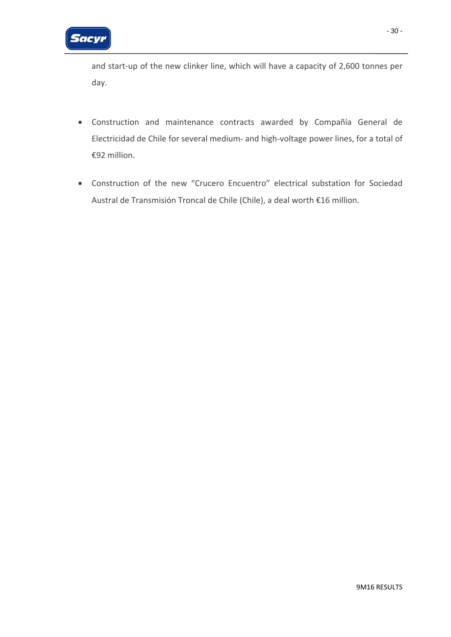

and start-up of the new clinker line, which will have a capacity of 2,600 tonnes per day.

- Construction and maintenance contracts awarded by Compañía General de Electricidad de Chile for several medium‐ and high‐voltage power lines, for a total of €92 million.
- Construction of the new "Crucero Encuentro" electrical substation for Sociedad Austral de Transmisión Troncal de Chile (Chile), a deal worth €16 million.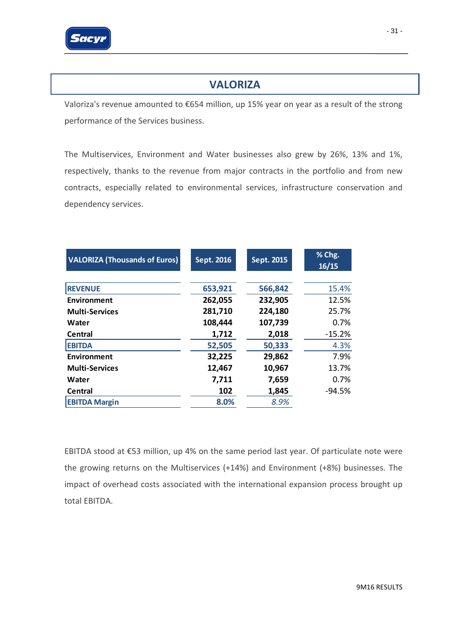

### **VALORIZA**

Valoriza's revenue amounted to €654 million, up 15% year on year as a result of the strong performance of the Services business.

The Multiservices, Environment and Water businesses also grew by 26%, 13% and 1%, respectively, thanks to the revenue from major contracts in the portfolio and from new contracts, especially related to environmental services, infrastructure conservation and dependency services.

| <b>VALORIZA (Thousands of Euros)</b> | Sept. 2016 | Sept. 2015 | % Chg.<br>16/15 |
|--------------------------------------|------------|------------|-----------------|
|                                      |            |            |                 |
| <b>REVENUE</b>                       | 653,921    | 566,842    | 15.4%           |
| Environment                          | 262,055    | 232,905    | 12.5%           |
| <b>Multi-Services</b>                | 281,710    | 224,180    | 25.7%           |
| Water                                | 108,444    | 107,739    | 0.7%            |
| Central                              | 1,712      | 2,018      | $-15.2%$        |
| <b>EBITDA</b>                        | 52,505     | 50,333     | 4.3%            |
| Environment                          | 32,225     | 29,862     | 7.9%            |
| <b>Multi-Services</b>                | 12,467     | 10,967     | 13.7%           |
| Water                                | 7,711      | 7,659      | 0.7%            |
| Central                              | 102        | 1,845      | $-94.5%$        |
| <b>EBITDA Margin</b>                 | 8.0%       | 8.9%       |                 |

EBITDA stood at €53 million, up 4% on the same period last year. Of particulate note were the growing returns on the Multiservices (+14%) and Environment (+8%) businesses. The impact of overhead costs associated with the international expansion process brought up total EBITDA.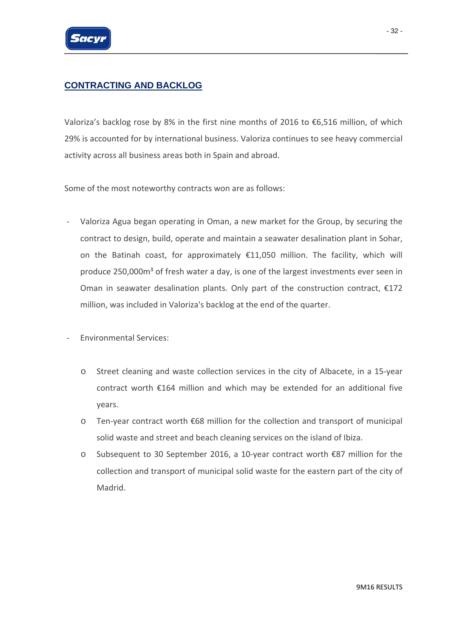

### **CONTRACTING AND BACKLOG**

Valoriza's backlog rose by 8% in the first nine months of 2016 to €6,516 million, of which 29% is accounted for by international business. Valoriza continues to see heavy commercial activity across all business areas both in Spain and abroad.

Some of the most noteworthy contracts won are as follows:

- ‐ Valoriza Agua began operating in Oman, a new market for the Group, by securing the contract to design, build, operate and maintain a seawater desalination plant in Sohar, on the Batinah coast, for approximately  $£11,050$  million. The facility, which will produce 250,000 $m<sup>3</sup>$  of fresh water a day, is one of the largest investments ever seen in Oman in seawater desalination plants. Only part of the construction contract,  $£172$ million, was included in Valoriza's backlog at the end of the quarter.
- ‐ Environmental Services:
	- o Street cleaning and waste collection services in the city of Albacete, in a 15‐year contract worth €164 million and which may be extended for an additional five years.
	- o Ten‐year contract worth €68 million for the collection and transport of municipal solid waste and street and beach cleaning services on the island of Ibiza.
	- o Subsequent to 30 September 2016, a 10‐year contract worth €87 million for the collection and transport of municipal solid waste for the eastern part of the city of Madrid.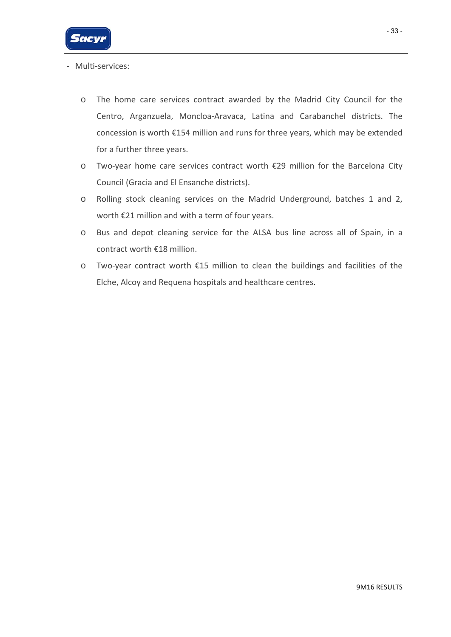

- ‐ Multi‐services:
	- o The home care services contract awarded by the Madrid City Council for the Centro, Arganzuela, Moncloa‐Aravaca, Latina and Carabanchel districts. The concession is worth €154 million and runs for three years, which may be extended for a further three years.
	- o Two‐year home care services contract worth €29 million for the Barcelona City Council (Gracia and El Ensanche districts).
	- o Rolling stock cleaning services on the Madrid Underground, batches 1 and 2, worth €21 million and with a term of four years.
	- o Bus and depot cleaning service for the ALSA bus line across all of Spain, in a contract worth €18 million.
	- o Two‐year contract worth €15 million to clean the buildings and facilities of the Elche, Alcoy and Requena hospitals and healthcare centres.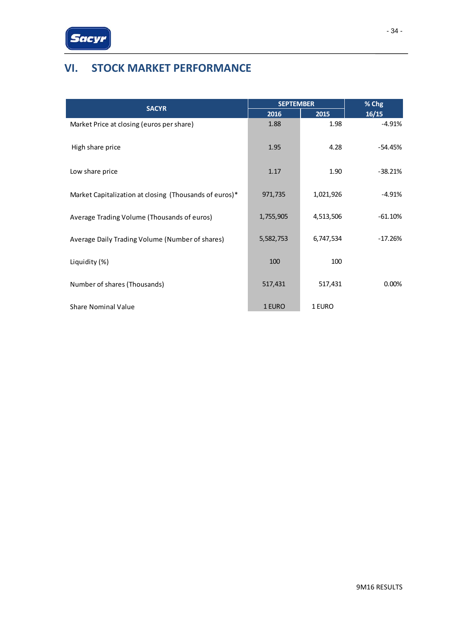

# **VI. STOCK MARKET PERFORMANCE**

| <b>SACYR</b>                                           | <b>SEPTEMBER</b> |           | % Chg     |
|--------------------------------------------------------|------------------|-----------|-----------|
|                                                        | 2016             | 2015      | 16/15     |
| Market Price at closing (euros per share)              | 1.88             | 1.98      | $-4.91%$  |
| High share price                                       | 1.95             | 4.28      | $-54.45%$ |
| Low share price                                        | 1.17             | 1.90      | $-38.21%$ |
| Market Capitalization at closing (Thousands of euros)* | 971,735          | 1,021,926 | $-4.91%$  |
| Average Trading Volume (Thousands of euros)            | 1,755,905        | 4,513,506 | $-61.10%$ |
| Average Daily Trading Volume (Number of shares)        | 5,582,753        | 6,747,534 | $-17.26%$ |
| Liquidity (%)                                          | 100              | 100       |           |
| Number of shares (Thousands)                           | 517,431          | 517,431   | 0.00%     |
| <b>Share Nominal Value</b>                             | 1 EURO           | 1 EURO    |           |